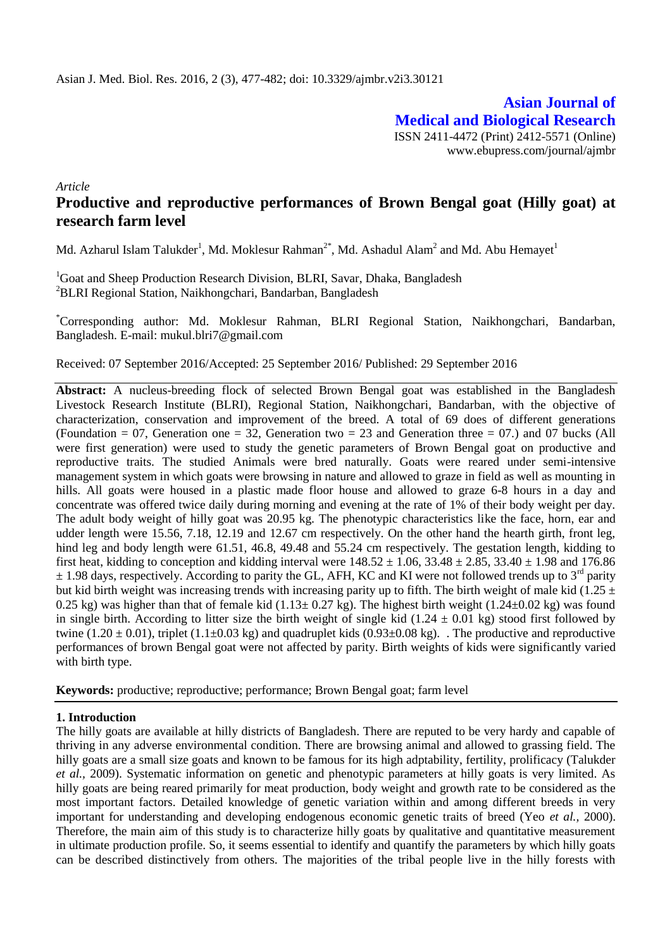**Asian Journal of Medical and Biological Research** ISSN 2411-4472 (Print) 2412-5571 (Online) www.ebupress.com/journal/ajmbr

*Article*

# **Productive and reproductive performances of Brown Bengal goat (Hilly goat) at research farm level**

Md. Azharul Islam Talukder<sup>1</sup>, Md. Moklesur Rahman<sup>2\*</sup>, Md. Ashadul Alam<sup>2</sup> and Md. Abu Hemayet<sup>1</sup>

<sup>1</sup>Goat and Sheep Production Research Division, BLRI, Savar, Dhaka, Bangladesh <sup>2</sup>BLRI Regional Station, Naikhongchari, Bandarban, Bangladesh

\*Corresponding author: Md. Moklesur Rahman, BLRI Regional Station, Naikhongchari, Bandarban, Bangladesh. E-mail: mukul.blri7@gmail.com

Received: 07 September 2016/Accepted: 25 September 2016/ Published: 29 September 2016

**Abstract:** A nucleus-breeding flock of selected Brown Bengal goat was established in the Bangladesh Livestock Research Institute (BLRI), Regional Station, Naikhongchari, Bandarban, with the objective of characterization, conservation and improvement of the breed. A total of 69 does of different generations (Foundation  $= 07$ , Generation one  $= 32$ , Generation two  $= 23$  and Generation three  $= 07$ .) and 07 bucks (All were first generation) were used to study the genetic parameters of Brown Bengal goat on productive and reproductive traits. The studied Animals were bred naturally. Goats were reared under semi-intensive management system in which goats were browsing in nature and allowed to graze in field as well as mounting in hills. All goats were housed in a plastic made floor house and allowed to graze 6-8 hours in a day and concentrate was offered twice daily during morning and evening at the rate of 1% of their body weight per day. The adult body weight of hilly goat was 20.95 kg. The phenotypic characteristics like the face, horn, ear and udder length were 15.56, 7.18, 12.19 and 12.67 cm respectively. On the other hand the hearth girth, front leg, hind leg and body length were 61.51, 46.8, 49.48 and 55.24 cm respectively. The gestation length, kidding to first heat, kidding to conception and kidding interval were  $148.52 \pm 1.06$ ,  $33.48 \pm 2.85$ ,  $33.40 \pm 1.98$  and  $176.86$  $\pm$  1.98 days, respectively. According to parity the GL, AFH, KC and KI were not followed trends up to 3<sup>rd</sup> parity but kid birth weight was increasing trends with increasing parity up to fifth. The birth weight of male kid (1.25  $\pm$ 0.25 kg) was higher than that of female kid  $(1.13 \pm 0.27 \text{ kg})$ . The highest birth weight  $(1.24 \pm 0.02 \text{ kg})$  was found in single birth. According to litter size the birth weight of single kid  $(1.24 \pm 0.01 \text{ kg})$  stood first followed by twine (1.20  $\pm$  0.01), triplet (1.1 $\pm$ 0.03 kg) and quadruplet kids (0.93 $\pm$ 0.08 kg). The productive and reproductive performances of brown Bengal goat were not affected by parity. Birth weights of kids were significantly varied with birth type.

Keywords: productive; reproductive; performance; Brown Bengal goat; farm level

#### **1. Introduction**

The hilly goats are available at hilly districts of Bangladesh. There are reputed to be very hardy and capable of thriving in any adverse environmental condition. There are browsing animal and allowed to grassing field. The hilly goats are a small size goats and known to be famous for its high adptability, fertility, prolificacy (Talukder *et al.,* 2009). Systematic information on genetic and phenotypic parameters at hilly goats is very limited. As hilly goats are being reared primarily for meat production, body weight and growth rate to be considered as the most important factors. Detailed knowledge of genetic variation within and among different breeds in very important for understanding and developing endogenous economic genetic traits of breed (Yeo *et al.,* 2000). Therefore, the main aim of this study is to characterize hilly goats by qualitative and quantitative measurement in ultimate production profile. So, it seems essential to identify and quantify the parameters by which hilly goats can be described distinctively from others. The majorities of the tribal people live in the hilly forests with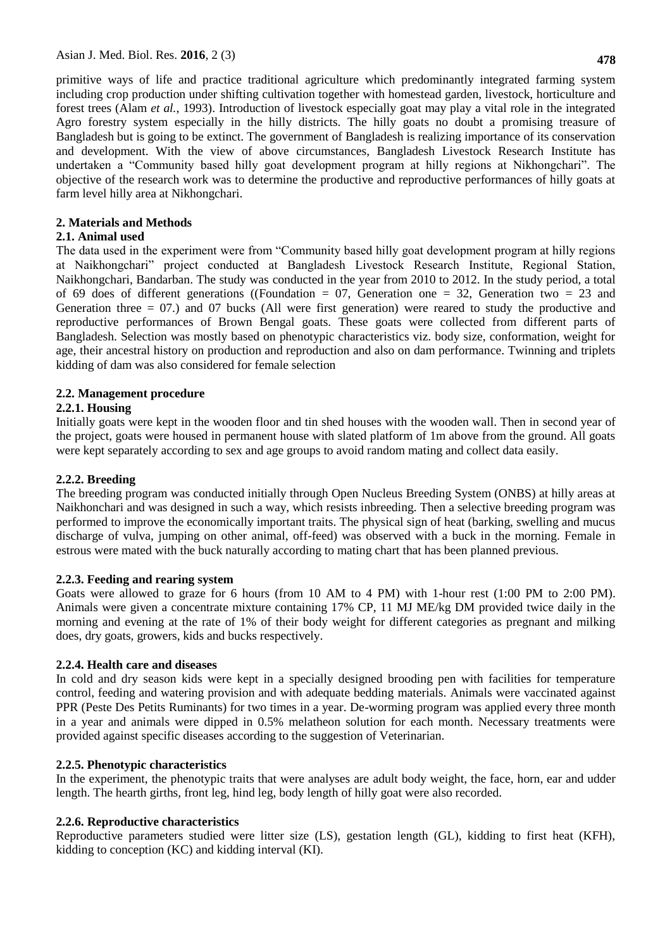primitive ways of life and practice traditional agriculture which predominantly integrated farming system including crop production under shifting cultivation together with homestead garden, livestock, horticulture and forest trees (Alam *et al.*, 1993). Introduction of livestock especially goat may play a vital role in the integrated Agro forestry system especially in the hilly districts. The hilly goats no doubt a promising treasure of Bangladesh but is going to be extinct. The government of Bangladesh is realizing importance of its conservation and development. With the view of above circumstances, Bangladesh Livestock Research Institute has undertaken a "Community based hilly goat development program at hilly regions at Nikhongchari". The objective of the research work was to determine the productive and reproductive performances of hilly goats at farm level hilly area at Nikhongchari.

#### **2. Materials and Methods**

#### **2.1. Animal used**

The data used in the experiment were from "Community based hilly goat development program at hilly regions at Naikhongchari" project conducted at Bangladesh Livestock Research Institute, Regional Station, Naikhongchari, Bandarban. The study was conducted in the year from 2010 to 2012. In the study period, a total of 69 does of different generations ((Foundation  $= 07$ , Generation one  $= 32$ , Generation two  $= 23$  and Generation three  $= 07$ .) and 07 bucks (All were first generation) were reared to study the productive and reproductive performances of Brown Bengal goats. These goats were collected from different parts of Bangladesh. Selection was mostly based on phenotypic characteristics viz. body size, conformation, weight for age, their ancestral history on production and reproduction and also on dam performance. Twinning and triplets kidding of dam was also considered for female selection

### **2.2. Management procedure**

### **2.2.1. Housing**

Initially goats were kept in the wooden floor and tin shed houses with the wooden wall. Then in second year of the project, goats were housed in permanent house with slated platform of 1m above from the ground. All goats were kept separately according to sex and age groups to avoid random mating and collect data easily.

#### **2.2.2. Breeding**

The breeding program was conducted initially through Open Nucleus Breeding System (ONBS) at hilly areas at Naikhonchari and was designed in such a way, which resists inbreeding. Then a selective breeding program was performed to improve the economically important traits. The physical sign of heat (barking, swelling and mucus discharge of vulva, jumping on other animal, off-feed) was observed with a buck in the morning. Female in estrous were mated with the buck naturally according to mating chart that has been planned previous.

#### **2.2.3. Feeding and rearing system**

Goats were allowed to graze for 6 hours (from 10 AM to 4 PM) with 1-hour rest (1:00 PM to 2:00 PM). Animals were given a concentrate mixture containing 17% CP, 11 MJ ME/kg DM provided twice daily in the morning and evening at the rate of 1% of their body weight for different categories as pregnant and milking does, dry goats, growers, kids and bucks respectively.

#### **2.2.4. Health care and diseases**

In cold and dry season kids were kept in a specially designed brooding pen with facilities for temperature control, feeding and watering provision and with adequate bedding materials. Animals were vaccinated against PPR (Peste Des Petits Ruminants) for two times in a year. De-worming program was applied every three month in a year and animals were dipped in 0.5% melatheon solution for each month. Necessary treatments were provided against specific diseases according to the suggestion of Veterinarian.

#### **2.2.5. Phenotypic characteristics**

In the experiment, the phenotypic traits that were analyses are adult body weight, the face, horn, ear and udder length. The hearth girths, front leg, hind leg, body length of hilly goat were also recorded.

# **2.2.6. Reproductive characteristics**

Reproductive parameters studied were litter size (LS), gestation length (GL), kidding to first heat (KFH), kidding to conception (KC) and kidding interval (KI).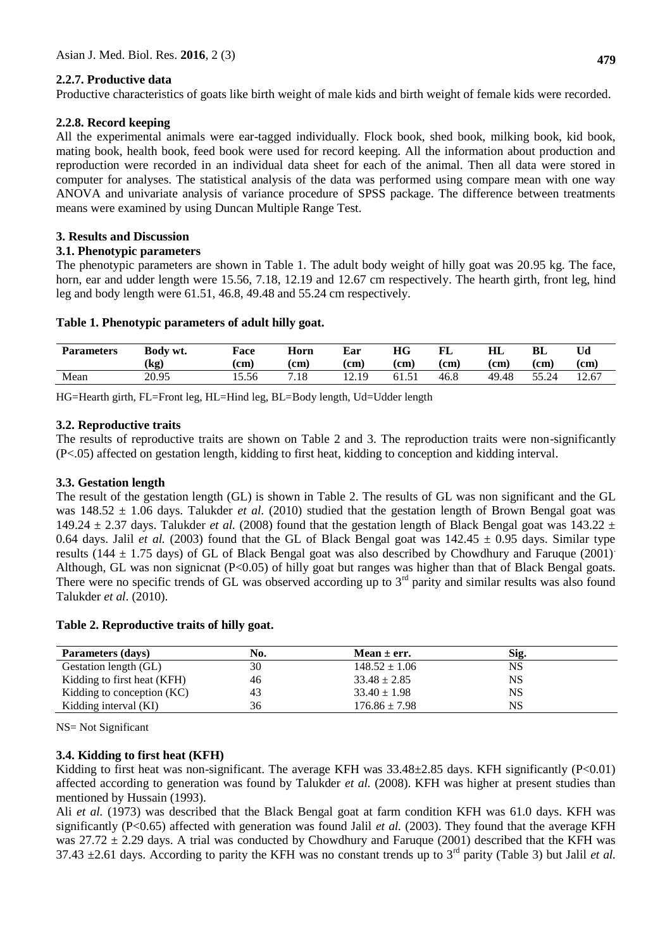### **2.2.7. Productive data**

Productive characteristics of goats like birth weight of male kids and birth weight of female kids were recorded.

#### **2.2.8. Record keeping**

All the experimental animals were ear-tagged individually. Flock book, shed book, milking book, kid book, mating book, health book, feed book were used for record keeping. All the information about production and reproduction were recorded in an individual data sheet for each of the animal. Then all data were stored in computer for analyses. The statistical analysis of the data was performed using compare mean with one way ANOVA and univariate analysis of variance procedure of SPSS package. The difference between treatments means were examined by using Duncan Multiple Range Test.

### **3. Results and Discussion**

#### **3.1. Phenotypic parameters**

The phenotypic parameters are shown in Table 1. The adult body weight of hilly goat was 20.95 kg. The face, horn, ear and udder length were 15.56, 7.18, 12.19 and 12.67 cm respectively. The hearth girth, front leg, hind leg and body length were 61.51, 46.8, 49.48 and 55.24 cm respectively.

### **Table 1. Phenotypic parameters of adult hilly goat.**

| <b>Parameters</b> | Body wt.<br>$\left( \text{kg} \right)$ | Face<br>(cm) | Horn<br>(cm) | Ear<br>(cm) | НG<br>(cm      | FL<br>cm | HL<br>$\rm (cm)$ | BL<br>(cm | (cm)  |
|-------------------|----------------------------------------|--------------|--------------|-------------|----------------|----------|------------------|-----------|-------|
| Mean              | 20.95                                  | 15.56        | .18          | 12.19       | $61.5^{\circ}$ | 46.8     | 49.48            | 55.24     | 12.67 |

HG=Hearth girth, FL=Front leg, HL=Hind leg, BL=Body length, Ud=Udder length

### **3.2. Reproductive traits**

The results of reproductive traits are shown on Table 2 and 3. The reproduction traits were non-significantly (P<.05) affected on gestation length, kidding to first heat, kidding to conception and kidding interval.

# **3.3. Gestation length**

The result of the gestation length (GL) is shown in Table 2. The results of GL was non significant and the GL was 148.52 ± 1.06 days. Talukder *et al.* (2010) studied that the gestation length of Brown Bengal goat was 149.24  $\pm$  2.37 days. Talukder *et al.* (2008) found that the gestation length of Black Bengal goat was 143.22  $\pm$ 0.64 days. Jalil *et al.* (2003) found that the GL of Black Bengal goat was  $142.45 \pm 0.95$  days. Similar type results (144  $\pm$  1.75 days) of GL of Black Bengal goat was also described by Chowdhury and Faruque (2001). Although, GL was non signicnat (P<0.05) of hilly goat but ranges was higher than that of Black Bengal goats. There were no specific trends of GL was observed according up to 3<sup>rd</sup> parity and similar results was also found Talukder *et al*. (2010).

#### **Table 2. Reproductive traits of hilly goat.**

| Parameters (days)           | No. | Mean $\pm$ err.   | Sig. |  |
|-----------------------------|-----|-------------------|------|--|
| Gestation length (GL)       | 30  | $148.52 \pm 1.06$ | NS   |  |
| Kidding to first heat (KFH) | 46  | $33.48 \pm 2.85$  | NS   |  |
| Kidding to conception (KC)  | 43  | $33.40 \pm 1.98$  | NS   |  |
| Kidding interval (KI)       | 36  | $176.86 \pm 7.98$ | NS   |  |

NS= Not Significant

#### **3.4. Kidding to first heat (KFH)**

Kidding to first heat was non-significant. The average KFH was  $33.48\pm2.85$  days. KFH significantly (P<0.01) affected according to generation was found by Talukder *et al.* (2008). KFH was higher at present studies than mentioned by Hussain (1993).

Ali *et al.* (1973) was described that the Black Bengal goat at farm condition KFH was 61.0 days. KFH was significantly (P<0.65) affected with generation was found Jalil *et al.* (2003). They found that the average KFH was  $27.72 \pm 2.29$  days. A trial was conducted by Chowdhury and Faruque (2001) described that the KFH was 37.43  $\pm$ 2.61 days. According to parity the KFH was no constant trends up to 3<sup>rd</sup> parity (Table 3) but Jalil *et al.*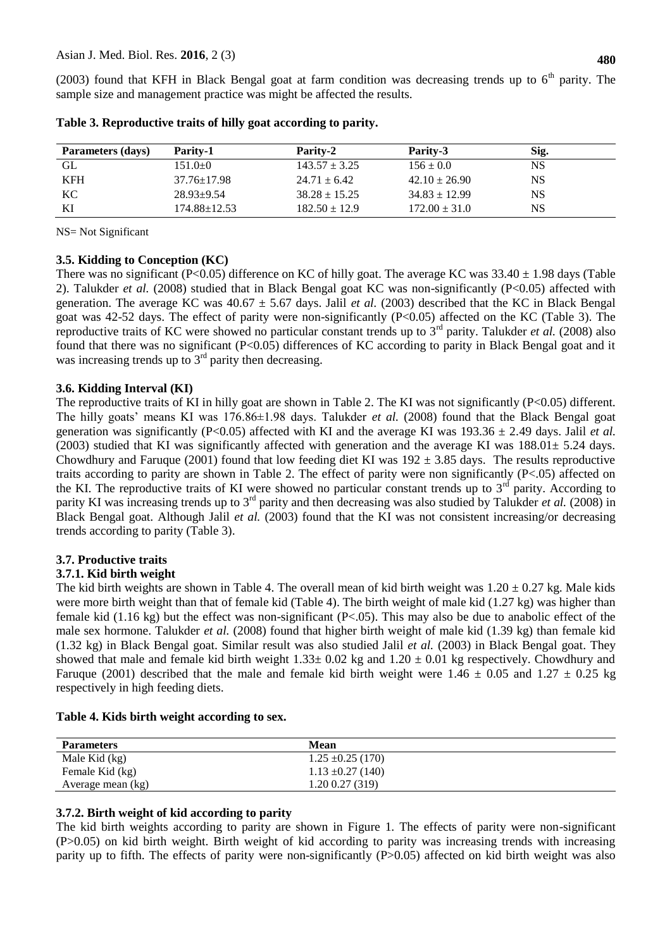(2003) found that KFH in Black Bengal goat at farm condition was decreasing trends up to  $6<sup>th</sup>$  parity. The sample size and management practice was might be affected the results.

| Parameters (days) | <b>Parity-1</b>    | <b>Parity-2</b>   | Parity-3          | Sig. |
|-------------------|--------------------|-------------------|-------------------|------|
| GL                | $151.0 \pm 0$      | $143.57 \pm 3.25$ | $156 \pm 0.0$     | NS   |
| <b>KFH</b>        | 37.76±17.98        | $24.71 \pm 6.42$  | $42.10 \pm 26.90$ | NS   |
| KC                | $28.93+9.54$       | $38.28 \pm 15.25$ | $34.83 \pm 12.99$ | NS   |
| KI                | $174.88 \pm 12.53$ | $182.50 \pm 12.9$ | $172.00 \pm 31.0$ | NS   |

**Table 3. Reproductive traits of hilly goat according to parity.**

NS= Not Significant

### **3.5. Kidding to Conception (KC)**

There was no significant (P<0.05) difference on KC of hilly goat. The average KC was  $33.40 \pm 1.98$  days (Table 2). Talukder *et al.* (2008) studied that in Black Bengal goat KC was non-significantly (P<0.05) affected with generation. The average KC was  $40.67 \pm 5.67$  days. Jalil *et al.* (2003) described that the KC in Black Bengal goat was 42-52 days. The effect of parity were non-significantly (P<0.05) affected on the KC (Table 3). The reproductive traits of KC were showed no particular constant trends up to 3rd parity. Talukder *et al.* (2008) also found that there was no significant (P<0.05) differences of KC according to parity in Black Bengal goat and it was increasing trends up to  $3<sup>rd</sup>$  parity then decreasing.

### **3.6. Kidding Interval (KI)**

The reproductive traits of KI in hilly goat are shown in Table 2. The KI was not significantly (P<0.05) different. The hilly goats' means KI was 176.86±1.98 days. Talukder *et al.* (2008) found that the Black Bengal goat generation was significantly (P<0.05) affected with KI and the average KI was  $193.36 \pm 2.49$  days. Jalil *et al.* (2003) studied that KI was significantly affected with generation and the average KI was  $188.01 \pm 5.24$  days. Chowdhury and Faruque (2001) found that low feeding diet KI was  $192 \pm 3.85$  days. The results reproductive traits according to parity are shown in Table 2. The effect of parity were non significantly (P<.05) affected on the KI. The reproductive traits of KI were showed no particular constant trends up to  $3<sup>rd</sup>$  parity. According to parity KI was increasing trends up to 3<sup>rd</sup> parity and then decreasing was also studied by Talukder *et al.* (2008) in Black Bengal goat. Although Jalil *et al.* (2003) found that the KI was not consistent increasing/or decreasing trends according to parity (Table 3).

# **3.7. Productive traits**

# **3.7.1. Kid birth weight**

The kid birth weights are shown in Table 4. The overall mean of kid birth weight was  $1.20 \pm 0.27$  kg. Male kids were more birth weight than that of female kid (Table 4). The birth weight of male kid (1.27 kg) was higher than female kid (1.16 kg) but the effect was non-significant (P<.05). This may also be due to anabolic effect of the male sex hormone. Talukder *et al.* (2008) found that higher birth weight of male kid (1.39 kg) than female kid (1.32 kg) in Black Bengal goat. Similar result was also studied Jalil *et al.* (2003) in Black Bengal goat. They showed that male and female kid birth weight  $1.33\pm 0.02$  kg and  $1.20\pm 0.01$  kg respectively. Chowdhury and Faruque (2001) described that the male and female kid birth weight were 1.46  $\pm$  0.05 and 1.27  $\pm$  0.25 kg respectively in high feeding diets.

| <b>Parameters</b> | Mean                  |
|-------------------|-----------------------|
| Male Kid (kg)     | $1.25 \pm 0.25$ (170) |
| Female Kid (kg)   | $1.13 \pm 0.27$ (140) |
| Average mean (kg) | 1.20 0.27 (319)       |

# **3.7.2. Birth weight of kid according to parity**

The kid birth weights according to parity are shown in Figure 1. The effects of parity were non-significant (P>0.05) on kid birth weight. Birth weight of kid according to parity was increasing trends with increasing parity up to fifth. The effects of parity were non-significantly (P>0.05) affected on kid birth weight was also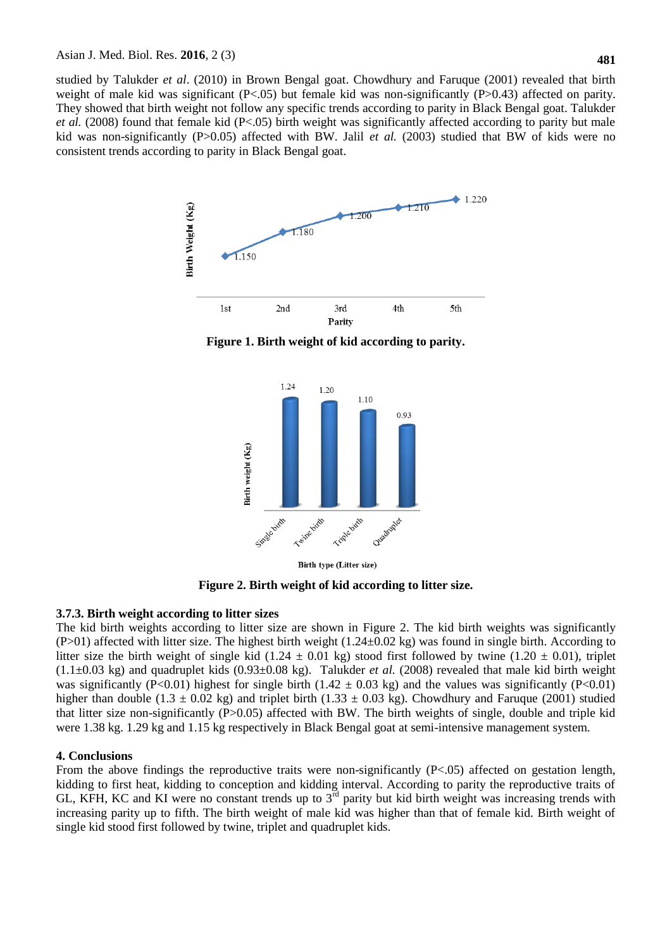studied by Talukder *et al*. (2010) in Brown Bengal goat. Chowdhury and Faruque (2001) revealed that birth weight of male kid was significant  $(P<.05)$  but female kid was non-significantly  $(P>0.43)$  affected on parity. They showed that birth weight not follow any specific trends according to parity in Black Bengal goat. Talukder *et al.* (2008) found that female kid (P<.05) birth weight was significantly affected according to parity but male kid was non-significantly (P>0.05) affected with BW. Jalil *et al.* (2003) studied that BW of kids were no consistent trends according to parity in Black Bengal goat.



**Figure 1. Birth weight of kid according to parity.**



Birth type (Litter size)

**Figure 2. Birth weight of kid according to litter size.**

#### **3.7.3. Birth weight according to litter sizes**

The kid birth weights according to litter size are shown in Figure 2. The kid birth weights was significantly  $(P>01)$  affected with litter size. The highest birth weight  $(1.24\pm0.02 \text{ kg})$  was found in single birth. According to litter size the birth weight of single kid (1.24  $\pm$  0.01 kg) stood first followed by twine (1.20  $\pm$  0.01), triplet (1.1±0.03 kg) and quadruplet kids (0.93±0.08 kg). Talukder *et al.* (2008) revealed that male kid birth weight was significantly (P<0.01) highest for single birth (1.42  $\pm$  0.03 kg) and the values was significantly (P<0.01) higher than double (1.3  $\pm$  0.02 kg) and triplet birth (1.33  $\pm$  0.03 kg). Chowdhury and Faruque (2001) studied that litter size non-significantly (P>0.05) affected with BW. The birth weights of single, double and triple kid were 1.38 kg. 1.29 kg and 1.15 kg respectively in Black Bengal goat at semi-intensive management system.

#### **4. Conclusions**

From the above findings the reproductive traits were non-significantly  $(P<.05)$  affected on gestation length, kidding to first heat, kidding to conception and kidding interval. According to parity the reproductive traits of GL, KFH, KC and KI were no constant trends up to  $3<sup>rd</sup>$  parity but kid birth weight was increasing trends with increasing parity up to fifth. The birth weight of male kid was higher than that of female kid. Birth weight of single kid stood first followed by twine, triplet and quadruplet kids.